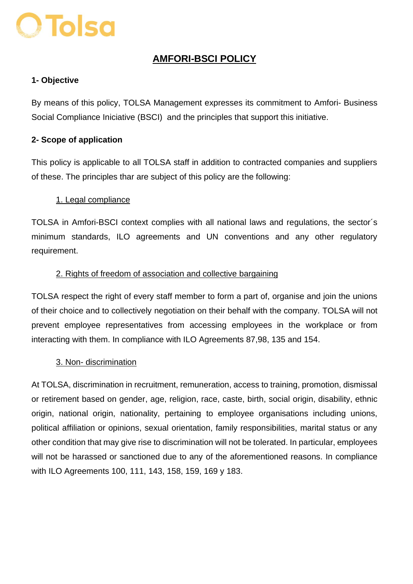# O Tolsa

### **AMFORI-BSCI POLICY**

#### **1- Objective**

By means of this policy, TOLSA Management expresses its commitment to Amfori- Business Social Compliance Iniciative (BSCI) and the principles that support this initiative.

#### **2- Scope of application**

This policy is applicable to all TOLSA staff in addition to contracted companies and suppliers of these. The principles thar are subject of this policy are the following:

#### 1. Legal compliance

TOLSA in Amfori-BSCI context complies with all national laws and regulations, the sector´s minimum standards, ILO agreements and UN conventions and any other regulatory requirement.

#### 2. Rights of freedom of association and collective bargaining

TOLSA respect the right of every staff member to form a part of, organise and join the unions of their choice and to collectively negotiation on their behalf with the company. TOLSA will not prevent employee representatives from accessing employees in the workplace or from interacting with them. In compliance with ILO Agreements 87,98, 135 and 154.

#### 3. Non- discrimination

At TOLSA, discrimination in recruitment, remuneration, access to training, promotion, dismissal or retirement based on gender, age, religion, race, caste, birth, social origin, disability, ethnic origin, national origin, nationality, pertaining to employee organisations including unions, political affiliation or opinions, sexual orientation, family responsibilities, marital status or any other condition that may give rise to discrimination will not be tolerated. In particular, employees will not be harassed or sanctioned due to any of the aforementioned reasons. In compliance with ILO Agreements 100, 111, 143, 158, 159, 169 y 183.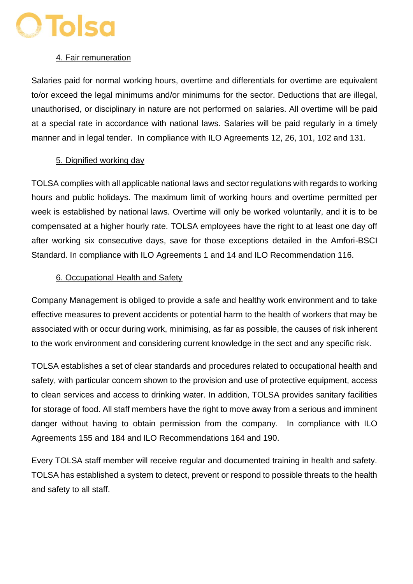## **O Tolsa**

#### 4. Fair remuneration

Salaries paid for normal working hours, overtime and differentials for overtime are equivalent to/or exceed the legal minimums and/or minimums for the sector. Deductions that are illegal, unauthorised, or disciplinary in nature are not performed on salaries. All overtime will be paid at a special rate in accordance with national laws. Salaries will be paid regularly in a timely manner and in legal tender. In compliance with ILO Agreements 12, 26, 101, 102 and 131.

#### 5. Dignified working day

TOLSA complies with all applicable national laws and sector regulations with regards to working hours and public holidays. The maximum limit of working hours and overtime permitted per week is established by national laws. Overtime will only be worked voluntarily, and it is to be compensated at a higher hourly rate. TOLSA employees have the right to at least one day off after working six consecutive days, save for those exceptions detailed in the Amfori-BSCI Standard. In compliance with ILO Agreements 1 and 14 and ILO Recommendation 116.

#### 6. Occupational Health and Safety

Company Management is obliged to provide a safe and healthy work environment and to take effective measures to prevent accidents or potential harm to the health of workers that may be associated with or occur during work, minimising, as far as possible, the causes of risk inherent to the work environment and considering current knowledge in the sect and any specific risk.

TOLSA establishes a set of clear standards and procedures related to occupational health and safety, with particular concern shown to the provision and use of protective equipment, access to clean services and access to drinking water. In addition, TOLSA provides sanitary facilities for storage of food. All staff members have the right to move away from a serious and imminent danger without having to obtain permission from the company. In compliance with ILO Agreements 155 and 184 and ILO Recommendations 164 and 190.

Every TOLSA staff member will receive regular and documented training in health and safety. TOLSA has established a system to detect, prevent or respond to possible threats to the health and safety to all staff.